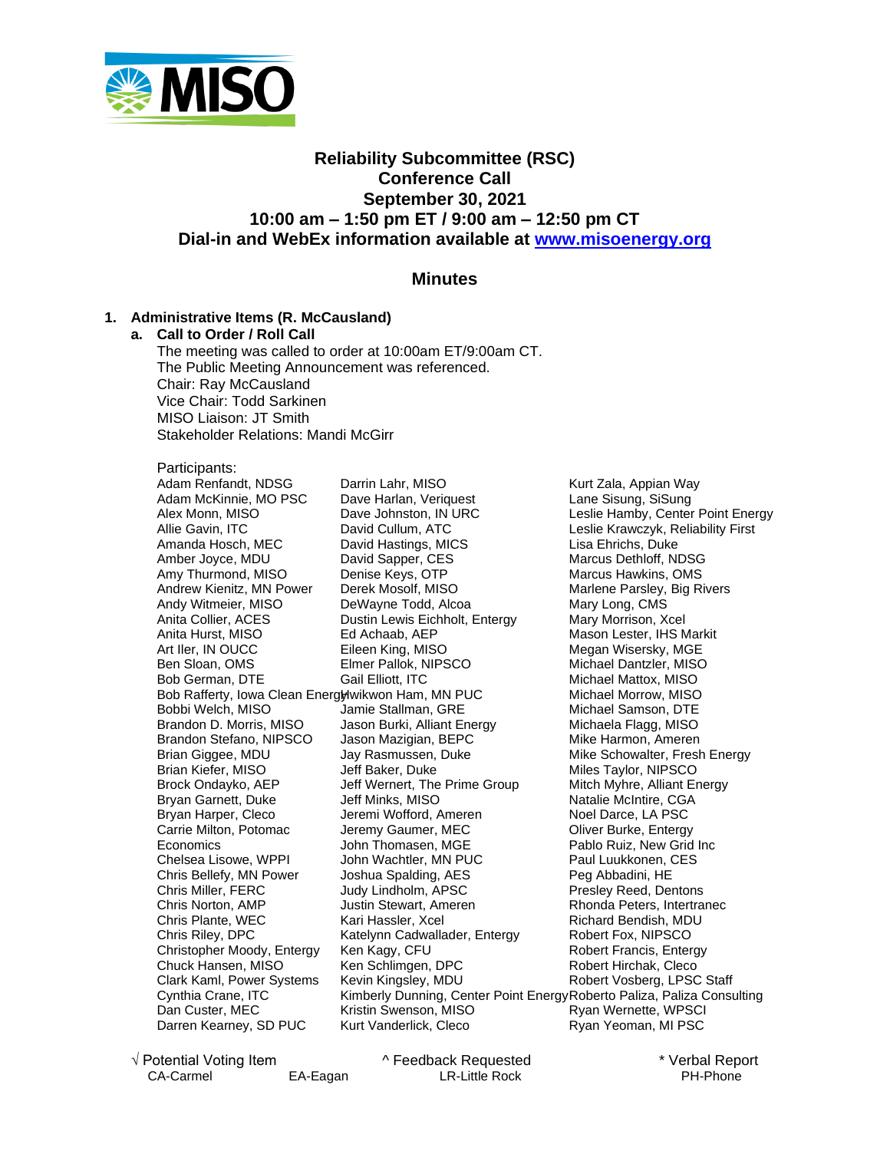

# **Reliability Subcommittee (RSC) Conference Call September 30, 2021 10:00 am – 1:50 pm ET / 9:00 am – 12:50 pm CT Dial-in and WebEx information available at [www.misoenergy.org](http://www.misoenergy.org/)**

# **Minutes**

#### **1. Administrative Items (R. McCausland)**

#### **a. Call to Order / Roll Call**

The meeting was called to order at 10:00am ET/9:00am CT. The Public Meeting Announcement was referenced. Chair: Ray McCausland Vice Chair: Todd Sarkinen MISO Liaison: JT Smith Stakeholder Relations: Mandi McGirr

Participants:

Adam Renfandt, NDSG Adam McKinnie, MO PSC Alex Monn, MISO Allie Gavin, ITC Amanda Hosch, MEC Amber Joyce, MDU Amy Thurmond, MISO Andrew Kienitz, MN Power Andy Witmeier, MISO Anita Collier, ACES Anita Hurst, MISO Art Iler, IN OUCC Ben Sloan, OMS Bob German, DTE Bob Rafferty, Iowa Clean Energlywikwon Ham, MN PUC Bobbi Welch, MISO Brandon D. Morris, MISO Brandon Stefano, NIPSCO Brian Giggee, MDU Brian Kiefer, MISO Brock Ondayko, AEP Bryan Garnett, Duke Bryan Harper, Cleco Carrie Milton, Potomac **Economics** Chelsea Lisowe, WPPI Chris Bellefy, MN Power Chris Miller, FERC Chris Norton, AMP Chris Plante, WEC Chris Riley, DPC Christopher Moody, Entergy Chuck Hansen, MISO Clark Kaml, Power Systems Cynthia Crane, ITC Dan Custer, MEC Darren Kearney, SD PUC

Darrin Lahr, MISO Dave Harlan, Veriquest Dave Johnston, IN URC David Cullum, ATC David Hastings, MICS David Sapper, CES Denise Keys, OTP Derek Mosolf, MISO DeWayne Todd, Alcoa Dustin Lewis Eichholt, Entergy Ed Achaab, AEP Eileen King, MISO Elmer Pallok, NIPSCO Gail Elliott, ITC Jamie Stallman, GRE Jason Burki, Alliant Energy Jason Mazigian, BEPC Jay Rasmussen, Duke Jeff Baker, Duke Jeff Wernert, The Prime Group Jeff Minks, MISO Jeremi Wofford, Ameren Jeremy Gaumer, MEC John Thomasen, MGE John Wachtler, MN PUC Joshua Spalding, AES Judy Lindholm, APSC Justin Stewart, Ameren Kari Hassler, Xcel Katelynn Cadwallader, Entergy Ken Kagy, CFU Ken Schlimgen, DPC Kevin Kingsley, MDU Kristin Swenson, MISO Kurt Vanderlick, Cleco

Kimberly Dunning, Center Point Energy Roberto Paliza, Paliza Consulting Kurt Zala, Appian Way Lane Sisung, SiSung Leslie Hamby, Center Point Energy Leslie Krawczyk, Reliability First Lisa Ehrichs, Duke Marcus Dethloff, NDSG Marcus Hawkins, OMS Marlene Parsley, Big Rivers Mary Long, CMS Mary Morrison, Xcel Mason Lester, IHS Markit Megan Wisersky, MGE Michael Dantzler, MISO Michael Mattox, MISO Michael Morrow, MISO Michael Samson, DTE Michaela Flagg, MISO Mike Harmon, Ameren Mike Schowalter, Fresh Energy Miles Taylor, NIPSCO Mitch Myhre, Alliant Energy Natalie McIntire, CGA Noel Darce, LA PSC Oliver Burke, Entergy Pablo Ruiz, New Grid Inc Paul Luukkonen, CES Peg Abbadini, HE Presley Reed, Dentons Rhonda Peters, Intertranec Richard Bendish, MDU Robert Fox, NIPSCO Robert Francis, Entergy Robert Hirchak, Cleco Robert Vosberg, LPSC Staff Ryan Wernette, WPSCI Ryan Yeoman, MI PSC

√ Potential Voting Item ^ Feedback Requested \* Verbal Report CA-Carmel EA-Eagan LR-Little Rock PH-Phone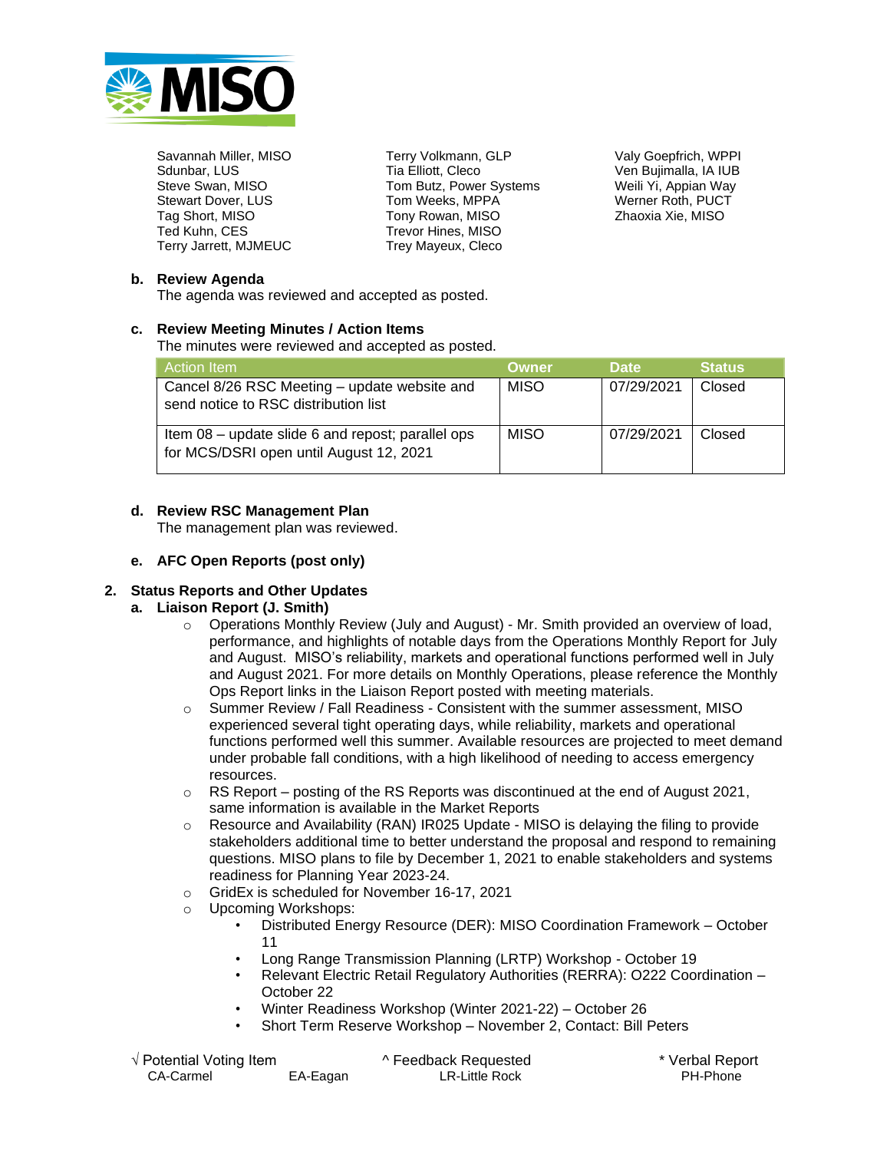

Savannah Miller, MISO Sdunbar, LUS Steve Swan, MISO Stewart Dover, LUS Tag Short, MISO Ted Kuhn, CES Terry Jarrett, MJMEUC Terry Volkmann, GLP Tia Elliott, Cleco Tom Butz, Power Systems Tom Weeks, MPPA Tony Rowan, MISO Trevor Hines, MISO Trey Mayeux, Cleco

Valy Goepfrich, WPPI Ven Bujimalla, IA IUB Weili Yi, Appian Way Werner Roth, PUCT Zhaoxia Xie, MISO

#### **b. Review Agenda**

The agenda was reviewed and accepted as posted.

#### **c. Review Meeting Minutes / Action Items**

The minutes were reviewed and accepted as posted.

| ⊦Action Item                                                                                 | Owner       | <b>Date</b> | <b>Status</b> |
|----------------------------------------------------------------------------------------------|-------------|-------------|---------------|
| Cancel 8/26 RSC Meeting - update website and<br>send notice to RSC distribution list         | <b>MISO</b> | 07/29/2021  | Closed        |
| Item 08 – update slide 6 and repost; parallel ops<br>for MCS/DSRI open until August 12, 2021 | <b>MISO</b> | 07/29/2021  | Closed        |

# **d. Review RSC Management Plan**

The management plan was reviewed.

#### **e. AFC Open Reports (post only)**

# **2. Status Reports and Other Updates**

# **a. Liaison Report (J. Smith)**

- $\circ$  Operations Monthly Review (July and August) Mr. Smith provided an overview of load, performance, and highlights of notable days from the Operations Monthly Report for July and August. MISO's reliability, markets and operational functions performed well in July and August 2021. For more details on Monthly Operations, please reference the Monthly Ops Report links in the Liaison Report posted with meeting materials.
- o Summer Review / Fall Readiness Consistent with the summer assessment, MISO experienced several tight operating days, while reliability, markets and operational functions performed well this summer. Available resources are projected to meet demand under probable fall conditions, with a high likelihood of needing to access emergency resources.
- o RS Report posting of the RS Reports was discontinued at the end of August 2021, same information is available in the Market Reports
- $\circ$  Resource and Availability (RAN) IR025 Update MISO is delaying the filing to provide stakeholders additional time to better understand the proposal and respond to remaining questions. MISO plans to file by December 1, 2021 to enable stakeholders and systems readiness for Planning Year 2023-24.
- o GridEx is scheduled for November 16-17, 2021
- o Upcoming Workshops:
	- Distributed Energy Resource (DER): MISO Coordination Framework October 11
	- Long Range Transmission Planning (LRTP) Workshop October 19
	- Relevant Electric Retail Regulatory Authorities (RERRA): O222 Coordination October 22
	- Winter Readiness Workshop (Winter 2021-22) October 26
	- Short Term Reserve Workshop November 2, Contact: Bill Peters

| √ Potential Voting Item_ |          | ^ Feedback Requested | * Verbal Report |
|--------------------------|----------|----------------------|-----------------|
| CA-Carmel                | EA-Eagan | LR-Little Rock       | PH-Phone        |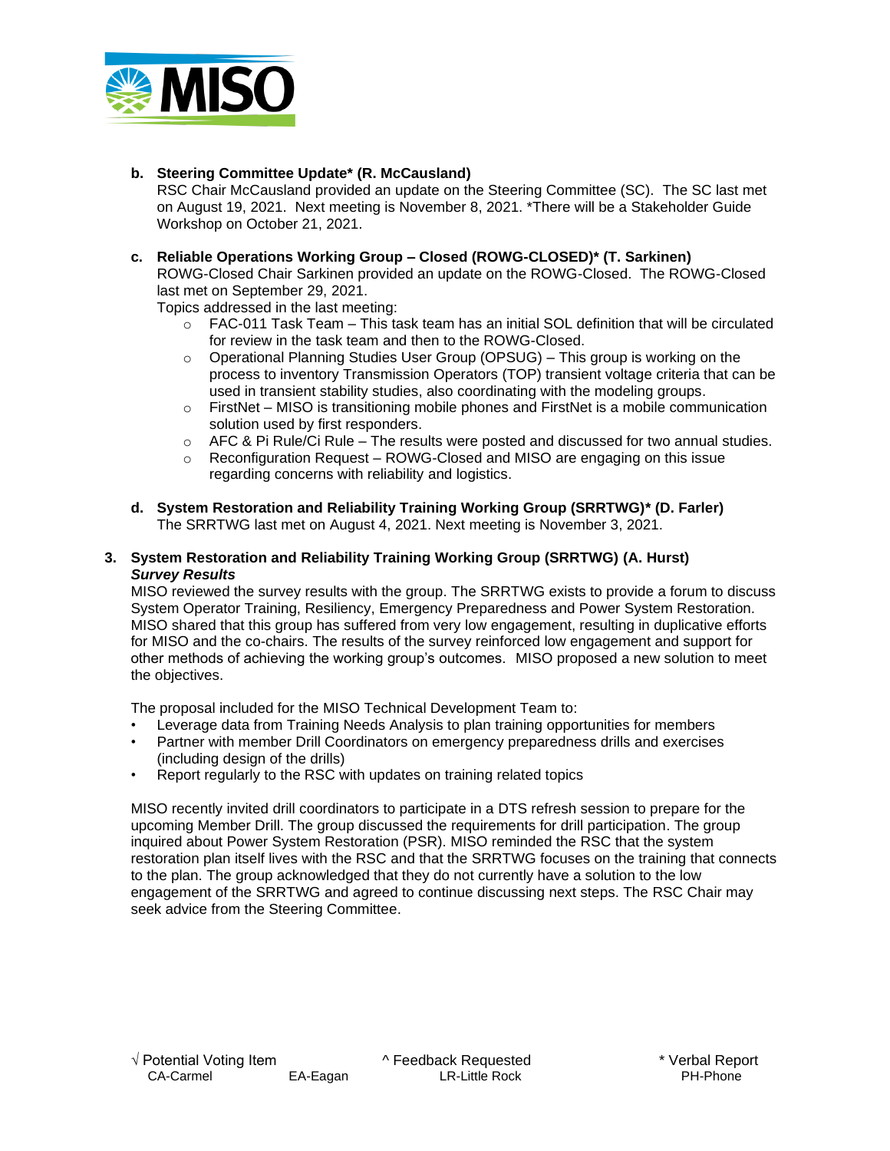

# **b. Steering Committee Update\* (R. McCausland)**

RSC Chair McCausland provided an update on the Steering Committee (SC). The SC last met on August 19, 2021. Next meeting is November 8, 2021. \*There will be a Stakeholder Guide Workshop on October 21, 2021.

#### **c. Reliable Operations Working Group – Closed (ROWG-CLOSED)\* (T. Sarkinen)**

ROWG-Closed Chair Sarkinen provided an update on the ROWG-Closed. The ROWG-Closed last met on September 29, 2021.

Topics addressed in the last meeting:

- o FAC-011 Task Team This task team has an initial SOL definition that will be circulated for review in the task team and then to the ROWG-Closed.
- o Operational Planning Studies User Group (OPSUG) This group is working on the process to inventory Transmission Operators (TOP) transient voltage criteria that can be used in transient stability studies, also coordinating with the modeling groups.
- o FirstNet MISO is transitioning mobile phones and FirstNet is a mobile communication solution used by first responders.
- $\circ$  AFC & Pi Rule/Ci Rule The results were posted and discussed for two annual studies.
- o Reconfiguration Request ROWG-Closed and MISO are engaging on this issue regarding concerns with reliability and logistics.
- **d. System Restoration and Reliability Training Working Group (SRRTWG)\* (D. Farler)** The SRRTWG last met on August 4, 2021. Next meeting is November 3, 2021.

#### **3. System Restoration and Reliability Training Working Group (SRRTWG) (A. Hurst)**  *Survey Results*

MISO reviewed the survey results with the group. The SRRTWG exists to provide a forum to discuss System Operator Training, Resiliency, Emergency Preparedness and Power System Restoration. MISO shared that this group has suffered from very low engagement, resulting in duplicative efforts for MISO and the co-chairs. The results of the survey reinforced low engagement and support for other methods of achieving the working group's outcomes. MISO proposed a new solution to meet the objectives.

The proposal included for the MISO Technical Development Team to:

- Leverage data from Training Needs Analysis to plan training opportunities for members
- Partner with member Drill Coordinators on emergency preparedness drills and exercises (including design of the drills)
- Report regularly to the RSC with updates on training related topics

MISO recently invited drill coordinators to participate in a DTS refresh session to prepare for the upcoming Member Drill. The group discussed the requirements for drill participation. The group inquired about Power System Restoration (PSR). MISO reminded the RSC that the system restoration plan itself lives with the RSC and that the SRRTWG focuses on the training that connects to the plan. The group acknowledged that they do not currently have a solution to the low engagement of the SRRTWG and agreed to continue discussing next steps. The RSC Chair may seek advice from the Steering Committee.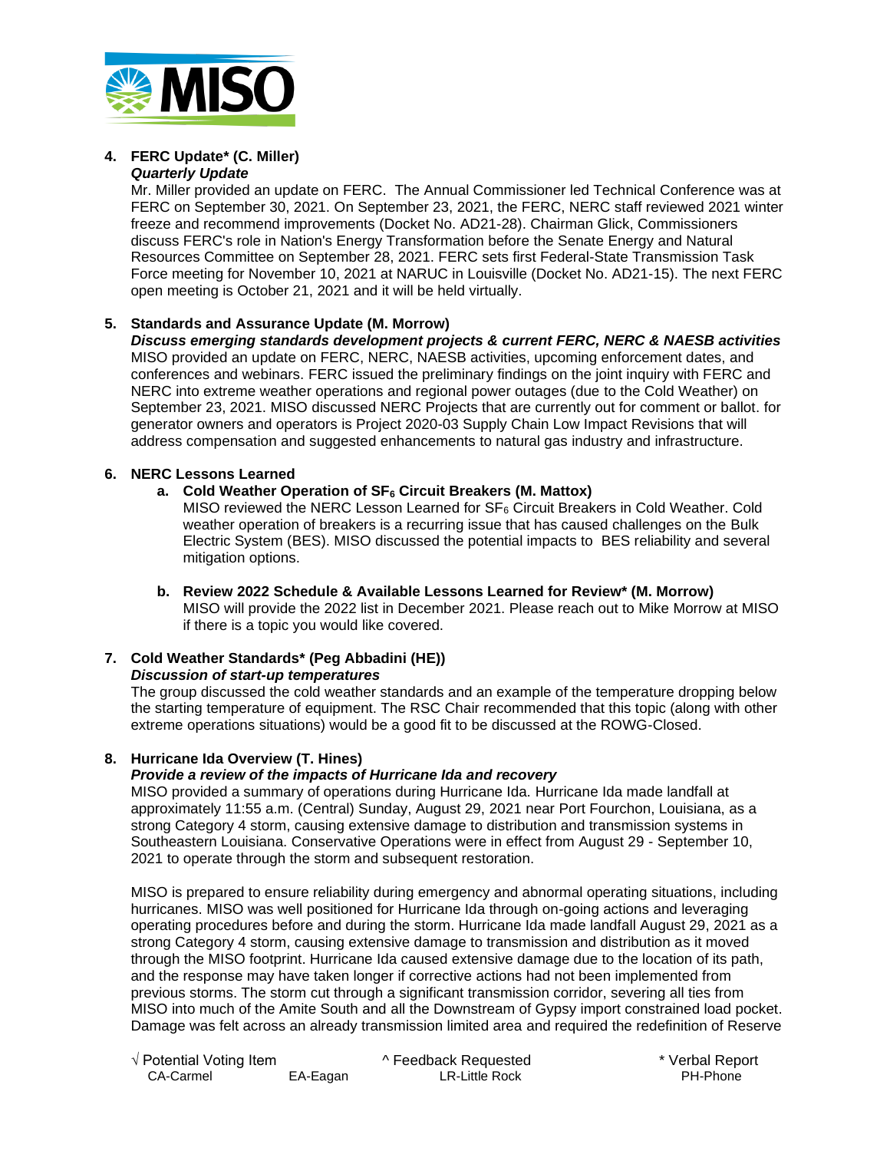

#### **4. FERC Update\* (C. Miller)**  *Quarterly Update*

Mr. Miller provided an update on FERC. The Annual Commissioner led Technical Conference was at FERC on September 30, 2021. On September 23, 2021, the FERC, NERC staff reviewed 2021 winter freeze and recommend improvements (Docket No. AD21-28). Chairman Glick, Commissioners discuss FERC's role in Nation's Energy Transformation before the Senate Energy and Natural Resources Committee on September 28, 2021. FERC sets first Federal-State Transmission Task Force meeting for November 10, 2021 at NARUC in Louisville (Docket No. AD21-15). The next FERC open meeting is October 21, 2021 and it will be held virtually.

# **5. Standards and Assurance Update (M. Morrow)**

*Discuss emerging standards development projects & current FERC, NERC & NAESB activities* MISO provided an update on FERC, NERC, NAESB activities, upcoming enforcement dates, and conferences and webinars. FERC issued the preliminary findings on the joint inquiry with FERC and NERC into extreme weather operations and regional power outages (due to the Cold Weather) on September 23, 2021. MISO discussed NERC Projects that are currently out for comment or ballot. for generator owners and operators is Project 2020-03 Supply Chain Low Impact Revisions that will address compensation and suggested enhancements to natural gas industry and infrastructure.

#### **6. NERC Lessons Learned**

# **a. Cold Weather Operation of SF<sup>6</sup> Circuit Breakers (M. Mattox)**

MISO reviewed the NERC Lesson Learned for  $SF_6$  Circuit Breakers in Cold Weather. Cold weather operation of breakers is a recurring issue that has caused challenges on the Bulk Electric System (BES). MISO discussed the potential impacts to BES reliability and several mitigation options.

**b. Review 2022 Schedule & Available Lessons Learned for Review\* (M. Morrow)** MISO will provide the 2022 list in December 2021. Please reach out to Mike Morrow at MISO if there is a topic you would like covered.

# **7. Cold Weather Standards\* (Peg Abbadini (HE))**

*Discussion of start-up temperatures*

The group discussed the cold weather standards and an example of the temperature dropping below the starting temperature of equipment. The RSC Chair recommended that this topic (along with other extreme operations situations) would be a good fit to be discussed at the ROWG-Closed.

# **8. Hurricane Ida Overview (T. Hines)**

# *Provide a review of the impacts of Hurricane Ida and recovery*

MISO provided a summary of operations during Hurricane Ida. Hurricane Ida made landfall at approximately 11:55 a.m. (Central) Sunday, August 29, 2021 near Port Fourchon, Louisiana, as a strong Category 4 storm, causing extensive damage to distribution and transmission systems in Southeastern Louisiana. Conservative Operations were in effect from August 29 - September 10, 2021 to operate through the storm and subsequent restoration.

MISO is prepared to ensure reliability during emergency and abnormal operating situations, including hurricanes. MISO was well positioned for Hurricane Ida through on-going actions and leveraging operating procedures before and during the storm. Hurricane Ida made landfall August 29, 2021 as a strong Category 4 storm, causing extensive damage to transmission and distribution as it moved through the MISO footprint. Hurricane Ida caused extensive damage due to the location of its path, and the response may have taken longer if corrective actions had not been implemented from previous storms. The storm cut through a significant transmission corridor, severing all ties from MISO into much of the Amite South and all the Downstream of Gypsy import constrained load pocket. Damage was felt across an already transmission limited area and required the redefinition of Reserve

| $\sqrt{}$ Potential Voting Item |          | ^ Feedback Requested | * Verbal Report |
|---------------------------------|----------|----------------------|-----------------|
| CA-Carmel                       | EA-Eagan | LR-Little Rock       | PH-Phone        |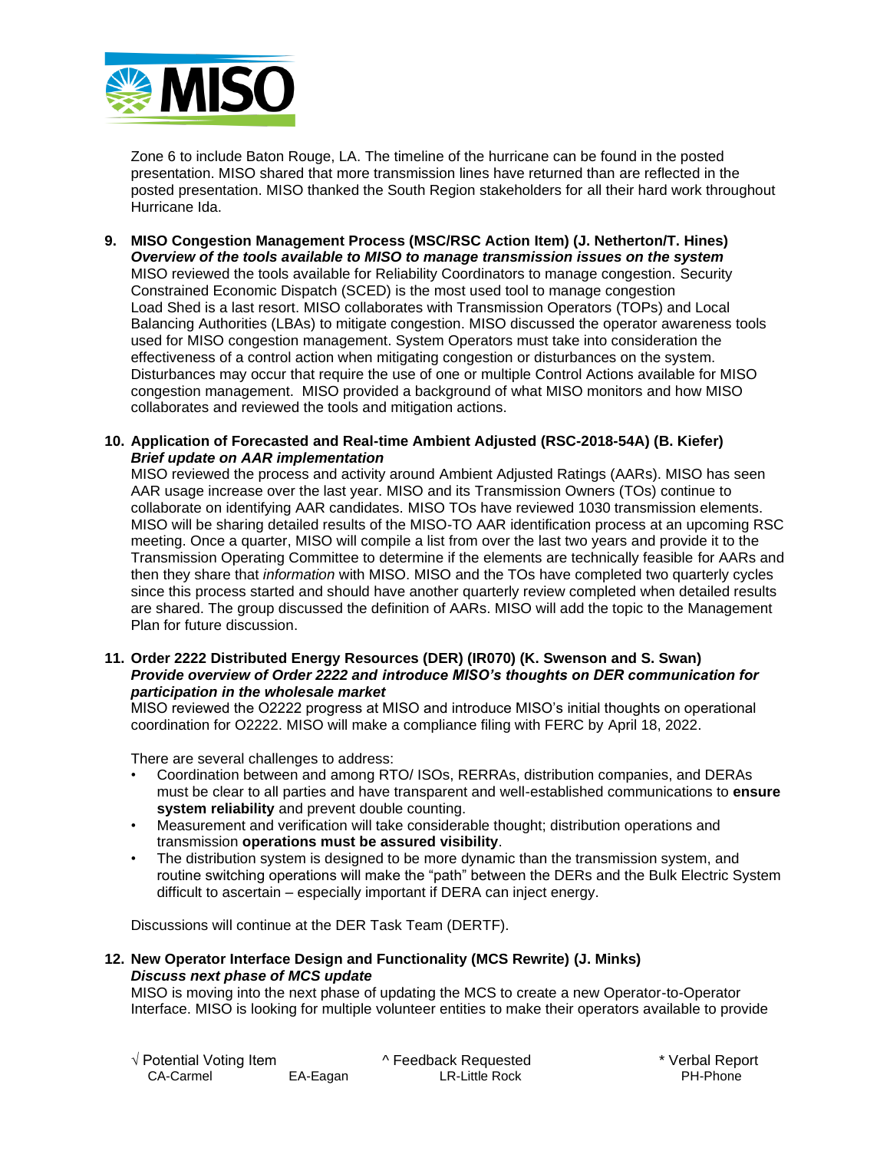

Zone 6 to include Baton Rouge, LA. The timeline of the hurricane can be found in the posted presentation. MISO shared that more transmission lines have returned than are reflected in the posted presentation. MISO thanked the South Region stakeholders for all their hard work throughout Hurricane Ida.

- **9. MISO Congestion Management Process (MSC/RSC Action Item) (J. Netherton/T. Hines)**  *Overview of the tools available to MISO to manage transmission issues on the system* MISO reviewed the tools available for Reliability Coordinators to manage congestion. Security Constrained Economic Dispatch (SCED) is the most used tool to manage congestion Load Shed is a last resort. MISO collaborates with Transmission Operators (TOPs) and Local Balancing Authorities (LBAs) to mitigate congestion. MISO discussed the operator awareness tools used for MISO congestion management. System Operators must take into consideration the effectiveness of a control action when mitigating congestion or disturbances on the system. Disturbances may occur that require the use of one or multiple Control Actions available for MISO congestion management. MISO provided a background of what MISO monitors and how MISO collaborates and reviewed the tools and mitigation actions.
- **10. Application of Forecasted and Real-time Ambient Adjusted (RSC-2018-54A) (B. Kiefer)**  *Brief update on AAR implementation*

MISO reviewed the process and activity around Ambient Adjusted Ratings (AARs). MISO has seen AAR usage increase over the last year. MISO and its Transmission Owners (TOs) continue to collaborate on identifying AAR candidates. MISO TOs have reviewed 1030 transmission elements. MISO will be sharing detailed results of the MISO-TO AAR identification process at an upcoming RSC meeting. Once a quarter, MISO will compile a list from over the last two years and provide it to the Transmission Operating Committee to determine if the elements are technically feasible for AARs and then they share that *information* with MISO. MISO and the TOs have completed two quarterly cycles since this process started and should have another quarterly review completed when detailed results are shared. The group discussed the definition of AARs. MISO will add the topic to the Management Plan for future discussion.

**11. Order 2222 Distributed Energy Resources (DER) (IR070) (K. Swenson and S. Swan)**  *Provide overview of Order 2222 and introduce MISO's thoughts on DER communication for participation in the wholesale market*

MISO reviewed the O2222 progress at MISO and introduce MISO's initial thoughts on operational coordination for O2222. MISO will make a compliance filing with FERC by April 18, 2022.

There are several challenges to address:

- Coordination between and among RTO/ ISOs, RERRAs, distribution companies, and DERAs must be clear to all parties and have transparent and well-established communications to **ensure system reliability** and prevent double counting.
- Measurement and verification will take considerable thought; distribution operations and transmission **operations must be assured visibility**.
- The distribution system is designed to be more dynamic than the transmission system, and routine switching operations will make the "path" between the DERs and the Bulk Electric System difficult to ascertain – especially important if DERA can inject energy.

Discussions will continue at the DER Task Team (DERTF).

#### **12. New Operator Interface Design and Functionality (MCS Rewrite) (J. Minks)**  *Discuss next phase of MCS update*

MISO is moving into the next phase of updating the MCS to create a new Operator-to-Operator Interface. MISO is looking for multiple volunteer entities to make their operators available to provide

| √ Potential Voting Item_ |          | ^ Feedback Requested | * Verbal Rep |
|--------------------------|----------|----------------------|--------------|
| CA-Carmel                | EA-Eagan | LR-Little Rock       | PH-Phone     |

√ Potential Voting Item ^ Feedback Requested \* Verbal Report